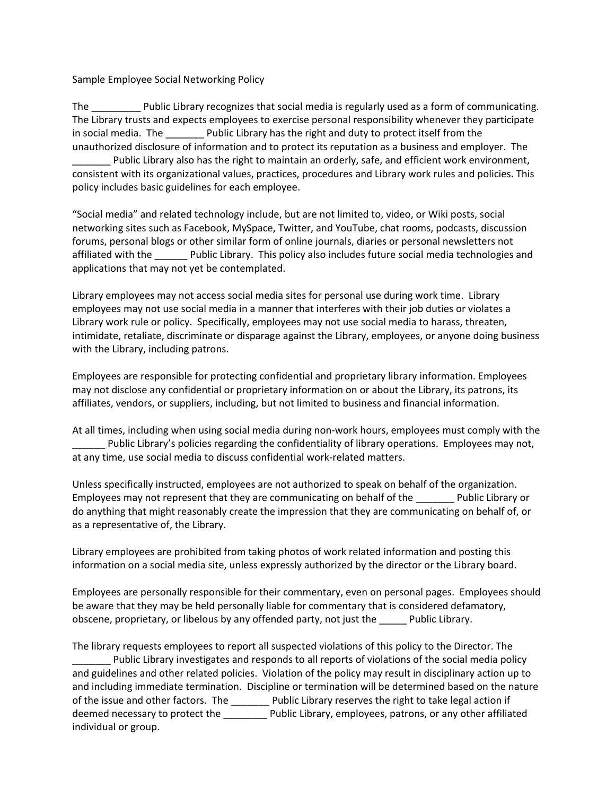Sample Employee Social Networking Policy

The  $\Box$  Public Library recognizes that social media is regularly used as a form of communicating. The Library trusts and expects employees to exercise personal responsibility whenever they participate in social media. The **Example 2** Public Library has the right and duty to protect itself from the unauthorized disclosure of information and to protect its reputation as a business and employer. The Public Library also has the right to maintain an orderly, safe, and efficient work environment, consistent with its organizational values, practices, procedures and Library work rules and policies. This policy includes basic guidelines for each employee.

"Social media" and related technology include, but are not limited to, video, or Wiki posts, social networking sites such as Facebook, MySpace, Twitter, and YouTube, chat rooms, podcasts, discussion forums, personal blogs or other similar form of online journals, diaries or personal newsletters not affiliated with the **Example 2** Public Library. This policy also includes future social media technologies and applications that may not yet be contemplated.

Library employees may not access social media sites for personal use during work time. Library employees may not use social media in a manner that interferes with their job duties or violates a Library work rule or policy. Specifically, employees may not use social media to harass, threaten, intimidate, retaliate, discriminate or disparage against the Library, employees, or anyone doing business with the Library, including patrons.

Employees are responsible for protecting confidential and proprietary library information. Employees may not disclose any confidential or proprietary information on or about the Library, its patrons, its affiliates, vendors, or suppliers, including, but not limited to business and financial information.

At all times, including when using social media during non-work hours, employees must comply with the Public Library's policies regarding the confidentiality of library operations. Employees may not, at any time, use social media to discuss confidential work-related matters.

Unless specifically instructed, employees are not authorized to speak on behalf of the organization. Employees may not represent that they are communicating on behalf of the \_\_\_\_\_\_\_ Public Library or do anything that might reasonably create the impression that they are communicating on behalf of, or as a representative of, the Library.

Library employees are prohibited from taking photos of work related information and posting this information on a social media site, unless expressly authorized by the director or the Library board.

Employees are personally responsible for their commentary, even on personal pages. Employees should be aware that they may be held personally liable for commentary that is considered defamatory, obscene, proprietary, or libelous by any offended party, not just the \_\_\_\_\_ Public Library.

The library requests employees to report all suspected violations of this policy to the Director. The Public Library investigates and responds to all reports of violations of the social media policy and guidelines and other related policies. Violation of the policy may result in disciplinary action up to and including immediate termination. Discipline or termination will be determined based on the nature of the issue and other factors. The \_\_\_\_\_\_\_ Public Library reserves the right to take legal action if deemed necessary to protect the **Network** Public Library, employees, patrons, or any other affiliated individual or group.